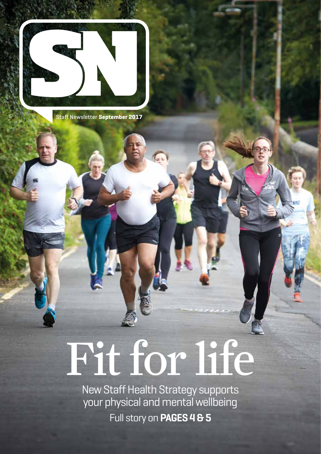

Staff Newsletter **September 2017**

# Fit for life

New Staff Health Strategy supports your physical and mental wellbeing Full story on **PAGES 4 & 5**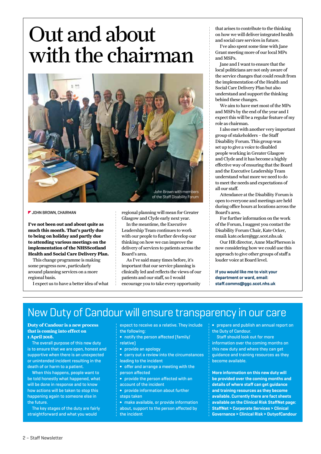## Out and about with the chairman



**JOHN BROWN, CHAIRMAN**

**I've not been out and about quite as much this month. That's partly due to being on holiday and partly due to attending various meetings on the implementation of the NHSScotland Health and Social Care Delivery Plan.** 

This change programme is making some progress now, particularly around planning services on a more regional basis.

I expect us to have a better idea of what

regional planning will mean for Greater Glasgow and Clyde early next year.

In the meantime, the Executive Leadership Team continues to work with our people to further develop our thinking on how we can improve the delivery of services to patients across the Board's area.

As I've said many times before, it's important that our service planning is clinically led and reflects the views of our patients and our staff, so I would encourage you to take every opportunity

that arises to contribute to the thinking on how we will deliver integrated health and social care services in future.

I've also spent some time with Jane Grant meeting more of our local MPs and MSPs.

Jane and I want to ensure that the local politicians are not only aware of the service changes that could result from the implementation of the Health and Social Care Delivery Plan but also understand and support the thinking behind these changes.

We aim to have met most of the MPs and MSPs by the end of the year and I expect this will be a regular feature of my role as chairman.

I also met with another very important group of stakeholders – the Staff Disability Forum. This group was set up to give a voice to disabled people working in Greater Glasgow and Clyde and it has become a highly effective way of ensuring that the Board and the Executive Leadership Team understand what more we need to do to meet the needs and expectations of all our staff.

Attendance at the Disability Forum is open to everyone and meetings are held during office hours at locations across the Board's area.

For further information on the work of the Forum, I suggest you contact the Disability Forum Chair, Kate Ocker, email: kate.ocker@ggc.scot.nhs.uk

Our HR director, Anne MacPherson is now considering how we could use this approach to give other groups of staff a louder voice at Board level.

**If you would like me to visit your department or ward, email: staff.comms@ggc.scot.nhs.uk**

### New Duty of Candour will ensure transparency in our care

#### **Duty of Candour is a new process that is coming into effect on 1 April 2018.**

The overall purpose of this new duty is to ensure that we are open, honest and supportive when there is an unexpected or unintended incident resulting in the death of or harm to a patient.

When this happens, people want to be told honestly what happened, what will be done in response and to know how actions will be taken to stop this happening again to someone else in the future.

The key stages of the duty are fairly straightforward and what you would

expect to receive as a relative. They include the following:

- **∫** notify the person affected (family/
- relative)
- **∫** provide an apology
- **∫** carry out a review into the circumstances leading to the incident
- **∫** offer and arrange a meeting with the person affected
- **∫** provide the person affected with an account of the incident
- **∫** provide information about further steps taken
- **∫** make available, or provide information about, support to the person affected by the incident

**∫** prepare and publish an annual report on the Duty of Candour.

Staff should look out for more information over the coming months on this new duty and where they can get guidance and training resources as they become available.

**More information on this new duty will be provided over the coming months and details of where staff can get guidance and training resources as they become available. Currently there are fact sheets available on the Clinical Risk StaffNet page: StaffNet > Corporate Services > Clinical Governance > Clinical Risk > DutyofCandour**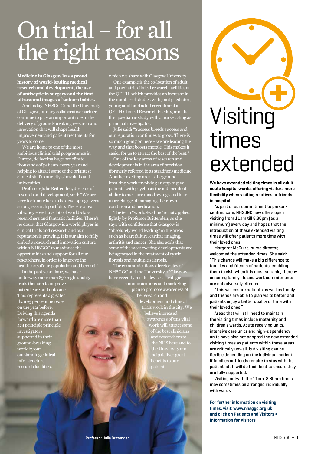## On trial – for all the right reasons

**Medicine in Glasgow has a proud history of world-leading medical research and development, the use of antiseptic in surgery and the first ultrasound images of unborn babies.**

And today, NHSGGC and the University of Glasgow, our key collaborative partner, continue to play an important role in the delivery of ground-breaking research and  $\frac{1}{100}$  innovation that will shape health improvement and patient treatments for years to come.

We are home to one of the most ambitious clinical trial programmes in Europe, delivering huge benefits to thousands of patients every year and helping to attract some of the brightest clinical staff to our city's hospitals and universities.

Professor Julie Brittenden, director of research and development, said: "We are very fortunate here to be developing a very strong research portfolio. There is a real vibrancy – we have lots of world-class researchers and fantastic facilities. There's no doubt that Glasgow is a world player in clinical trials and research and our reputation is growing. It is our aim to fully embed a research and innovation culture within NHSGGC to maximise the opportunities and support for all our researchers, in order to improve the healthcare of our population and beyond."

In the past year alone, we have underway more than 850 high-quality trials that aim to improve patient care and outcomes. This represents a greater than 25 per cent increase on the year before. Driving this agenda forward are more than 474 principle principle investigators supported in their ground-breaking work by our outstanding clinical infrastructure research facilities,

which we share with Glasgow University. One example is the co-location of adult and paediatric clinical research facilities at the QEUH, which provides an increase in the number of studies with joint paediatric, young adult and adult recruitment at QEUH Clinical Research Facility, and the first paediatric study with a nurse acting as principal investigator.

Julie said: "Success breeds success and our reputation continues to grow. There is so much going on here – we are leading the way and that boosts morale. This makes it easier for us to attract the best of the best."

One of the key areas of research and development is in the area of precision (formerly referred to as stratified) medicine. Another exciting area is the groundbreaking work involving an app to give patients with psychosis the independent ability to measure mood swings and take more charge of managing their own condition and medication.

The term "world-leading" is not applied lightly by Professor Brittenden, as she says with confidence that Glasgow is "absolutely world leading" in the areas such as heart failure, cardiac imaging, arthritis and cancer. She also adds that some of the most exciting developments are being forged in the treatment of cystic fibrosis and multiple sclerosis.

The communications directorates of NHSGGC and the University of Glas have recently met to devise a strategic

communications and marketing plan to promote awareness of the research and development and clinical trials work in the city. We believe increased awareness of this vital work will attract some of the best clinicians benefits to our

# Visiting times extended

**We have extended visiting times in all adult acute hospital wards, offering visitors more flexibility when visiting relatives or friends in hospital.**

As part of our commitment to personcentred care, NHSGGC now offers open visiting from 11am till 8.30pm (as a minimum) every day and hopes that the introduction of these extended visiting times will offer patients more time with their loved ones.

Margaret McGuire, nurse director, welcomed the extended times. She said: "This change will make a big difference to families and friends of patients, enabling them to visit when it is most suitable, thereby ensuring family life and work commitments are not adversely effected.

"This will ensure patients as well as family and friends are able to plan visits better and patients enjoy a better quality of time with their loved ones."

Areas that will still need to maintain the visiting times include maternity and children's wards. Acute receiving units, intensive care units and high-dependency units have also not adopted the new extended visiting times as patients within these areas are critically unwell, but visiting can be flexible depending on the individual patient. If families or friends require to stay with the patient, staff will do their best to ensure they are fully supported.

Visiting outwith the 11am-8.30pm times may sometimes be arranged individually with wards.

**For further information on visiting times, visit: www.nhsggc.org.uk and click on Patients and Visitors > Information for Visitors**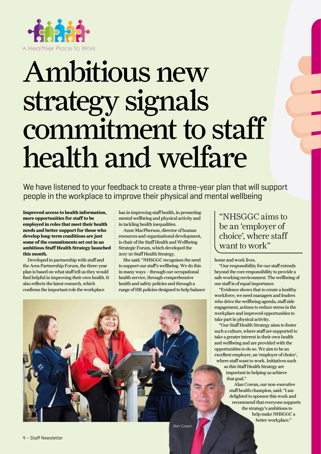

## Ambitious new strategy signals commitment to staff health and welfare

We have listened to your feedback to create a three-year plan that will support people in the workplace to improve their physical and mental wellbeing

**Improved access to health information, more opportunities for staff to be employed in roles that meet their health needs and better support for those who develop long-term conditions are just some of the commitments set out in an ambitious Staff Health Strategy launched this month.** 

Developed in partnership with staff and the Area Partnership Forum, the three-year plan is based on what staff tell us they would find helpful in improving their own health. It also reflects the latest research, which confirms the important role the workplace

has in improving staff health, in promoting mental wellbeing and physical activity and in tackling health inequalities.

Anne MacPherson, director of human resources and organisational development, is chair of the Staff Health and Wellbeing Strategic Forum, which developed the 2017-20 Staff Health Strategy.

She said: "NHSGGC recognises the need to support our staff's wellbeing. We do this in many ways – through our occupational health service, through comprehensive health and safety policies and through a range of HR policies designed to help balance

#### "NHSGGC aims to be an 'employer of choice', where staff want to work"

home and work lives.

"Our responsibility for our staff extends beyond the core responsibility to provide a safe working environment. The wellbeing of our staff is of equal importance.

"Evidence shows that to create a healthy workforce, we need managers and leaders who drive the wellbeing agenda, staff side engagement, actions to reduce stress in the workplace and improved opportunities to take part in physical activity.

"Our Staff Health Strategy aims to foster such a culture, where staff are supported to take a greater interest in their own health and wellbeing and are provided with the opportunities to do so. We aim to be an excellent employer, an 'employer of choice', where staff want to work. Initiatives such

> as this Staff Health Strategy are important in helping us achieve that goal."

Alan Cowan, our non-executive staff health champion, said: "I am delighted to sponsor this work and recommend that everyone supports the strategy's ambitions to help make NHSGGC a better workplace."



Alan Cowan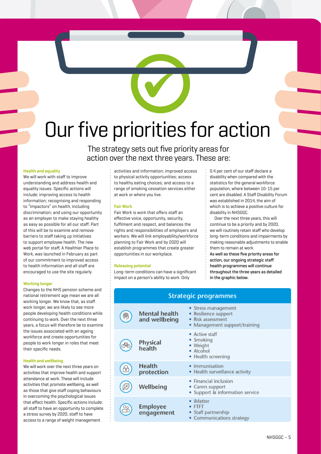## Our five priorities for action

The strategy sets out five priority areas for action over the next three years. These are:

#### **Health and equality**

We will work with staff to improve understanding and address health and equality issues. Specific actions will include: improving access to health information; recognising and responding to "impactors" on health, including discrimination; and using our opportunity as an employer to make staying healthy as easy as possible for all our staff. Part of this will be to examine and remove barriers to staff taking up initiatives to support employee health. The new web portal for staff, A Healthier Place to Work, was launched in February as part of our commitment to improved access to health information and all staff are encouraged to use the site regularly.

#### **Working longer**

Changes to the NHS pension scheme and national retirement age mean we are all working longer. We know that, as staff work longer, we are likely to see more people developing health conditions while continuing to work. Over the next three years, a focus will therefore be to examine the issues associated with an ageing workforce and create opportunities for people to work longer in roles that meet their specific needs.

#### **Health and wellbeing**

We will work over the next three years on activities that improve health and support attendance at work. These will include activities that promote wellbeing, as well as those that give staff coping behaviours in overcoming the psychological issues that affect health. Specific actions include: all staff to have an opportunity to complete a stress survey by 2020; staff to have access to a range of weight management

activities and information; improved access to physical activity opportunities; access to healthy eating choices; and access to a range of smoking cessation services either at work or where you live.

#### **Fair Work**

Fair Work is work that offers staff an effective voice, opportunity, security, fulfilment and respect, and balances the rights and responsibilities of employers and workers. We will link employability/workforce planning to Fair Work and by 2020 will establish programmes that create greater opportunities in our workplace.

#### **Releasing potential**

Long-term conditions can have a significant impact on a person's ability to work. Only

0.4 per cent of our staff declare a disability when compared with the statistics for the general workforce population, where between 10-15 per cent are disabled. A Staff Disability Forum was established in 2014, the aim of which is to achieve a positive culture for disability in NHSGGC.

Over the next three years, this will continue to be a priority and by 2020, we will routinely retain staff who develop long-term conditions and impairments by making reasonable adjustments to enable them to remain at work.

As well as these five priority areas for action, our ongoing strategic staff health programmes will continue throughout the three years as detailed in the graphic below.

| <b>Strategic programmes</b> |                                       |                                                                                               |
|-----------------------------|---------------------------------------|-----------------------------------------------------------------------------------------------|
|                             | <b>Mental health</b><br>and wellbeing | • Stress management<br>Resilience support<br>Risk assessment<br>• Management support/training |
|                             | Physical<br>health                    | • Active staff<br>• Smoking<br>• Weight<br>· Alcohol<br>• Health screening                    |
| $\frac{1}{\alpha}$          | Health<br>protection                  | Immunisation<br>• Health surveillance activity                                                |
|                             | Wellbeing                             | • Financial inclusion<br>• Carers support<br>• Support & information service                  |
|                             | Employee<br>engagement                | iMatter<br><b>FTFT</b><br>• Staff partnership<br>• Communications strategy                    |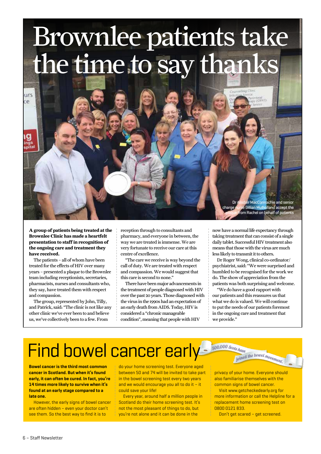## Brownlee patients take the time to say thanks

urs ce

> **A group of patients being treated at the Brownlee Clinic has made a heartfelt presentation to staff in recognition of the ongoing care and treatment they have received.**

> The patients – all of whom have been treated for the effects of HIV over many years – presented a plaque to the Brownlee team including receptionists, secretaries, pharmacists, nurses and consultants who, they say, have treated them with respect and compassion.

> The group, represented by John, Tilly, and Patrick, said: "The clinic is not like any other clinic we've ever been to and believe us, we've collectively been to a few. From

reception through to consultants and pharmacy, and everyone in between, the way we are treated is immense. We are very fortunate to receive our care at this centre of excellence.

"The care we receive is way beyond the call of duty. We are treated with respect and compassion. We would suggest that this care is second to none."

There have been major advancements in the treatment of people diagnosed with HIV over the past 20 years. Those diagnosed with the virus in the 1990s had an expectation of an early death from AIDS. Today, HIV is considered a "chronic manageable condition", meaning that people with HIV

now have a normal life expectancy through taking treatment that can consist of a single daily tablet. Successful HIV treatment also means that those with the virus are much less likely to transmit it to others.

r MacConnachie and senior e Gillian Mulholland accept the rom Rachel on behalf of patients

Dr Roger Wong, clinical co-ordinator/ psychiatrist, said: "We were surprised and humbled to be recognised for the work we do. The show of appreciation from the patients was both surprising and welcome.

"We do have a good rapport with our patients and this reassures us that what we do is valued. We will continue to put the needs of our patients foremost in the ongoing care and treatment that we provide."

## Find bowel cancer early

**Bowel cancer is the third most common cancer in Scotland. But when it's found early, it can often be cured. In fact, you're 14 times more likely to survive when it's found at an early stage compared to a late one.** 

However, the early signs of bowel cancer are often hidden – even your doctor can't see them. So the best way to find it is to

do your home screening test. Everyone aged between 50 and 74 will be invited to take part in the bowel screening test every two years and we would encourage you all to do it – it could save your life!

Every year, around half a million people in Scotland do their home screening test. It's not the most pleasant of things to do, but you're not alone and it can be done in the

privacy of your home. Everyone should also familiarise themselves with the common signs of bowel cancer.

joined the bowel movement

500,000 Scots have

Visit www.getcheckedearly.org for more information or call the Helpline for a replacement home screening test on 0800 0121 833.

Don't get scared – get screened.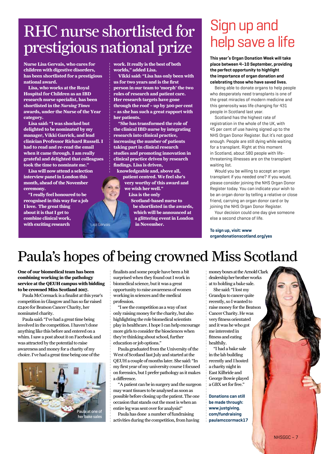### RHC nurse shortlisted for prestigious national prize

Lisa Gervais

**Nurse Lisa Gervais, who cares for children with digestive disorders, has been shortlisted for a prestigious national award.**

**Lisa, who works at the Royal Hospital for Children as an IBD research nurse specialist, has been shortlisted in the** *Nursing Times* **awards, under the Nurse of the Year category.**

**Lisa said: "I was shocked but delighted to be nominated by my manager, Vikki Garrick, and lead clinician Professor Richard Russell. I had to read and re-read the email when it came through. I am really grateful and delighted that colleagues took the time to nominate me."**

**Lisa will now attend a selection interview panel in London this month, ahead of the November ceremony.** 

**"I really feel honoured to be recognised in this way for a job I love. The great thing about it is that I get to combine clinical work, with exciting research** 

**work. It really is the best of both worlds," added Lisa.** 

**Vikki said: "Lisa has only been with us for two years and is the first person in our team to 'morph' the two roles of research and patient care. Her research targets have gone through the roof – up by 300 per cent – as she has such a great rapport with her patients.**

**"She has transformed the role of the clinical IBD nurse by integrating research into clinical practice, increasing the number of patients taking part in clinical research studies and promoting innovation in clinical practice driven by research findings. Lisa is driven,** 

**knowledgeable and, above all, patient centred. We feel she's very worthy of this award and we wish her well."**

**Lisa is the only** 

**Scotland-based nurse to be shortlisted in the awards, which will be announced at a glittering event in London in November.**

### Sign up and help save a life

**This year's Organ Donation Week will take place between 4–10 September, providing the perfect opportunity to highlight the importance of organ donation and celebrating those who have saved lives.**

Being able to donate organs to help people who desperately need transplants is one of the great miracles of modern medicine and this generosity was life changing for 431 people in Scotland last year.

Scotland has the highest rate of registration in the whole of the UK, with 45 per cent of use having signed up to the NHS Organ Donor Register. But it's not good enough. People are still dying while waiting for a transplant. Right at this moment in Scotland, about 580 people with lifethreatening illnesses are on the transplant waiting list.

Would you be willing to accept an organ transplant if you needed one? If you would, please consider joining the NHS Organ Donor Register today. You can indicate your wish to be an organ donor by telling a relative or close friend, carrying an organ donor card or by joining the NHS Organ Donor Register.

Your decision could one day give someone else a second chance of life.

#### **To sign up, visit: www organdonationscotland.org/yes**

### Paula's hopes of being crowned Miss Scotland

**One of our biomedical team has been combining working in the pathology service at the QEUH campus with bidding to be crowned Miss Scotland 2017.**

Paula McCormack is a finalist at this year's competition in Glasgow and has so far raised £2400 for Beatson Cancer Charity, her nominated charity.

Paula said: "I've had a great time being involved in the competition. I haven't done anything like this before and entered on a whim. I saw a post about it on Facebook and was attracted by the potential to raise awareness and money for a charity of my choice.I've had a great time being one of the



finalists and some people have been a bit surprised when they found out I work in biomedical science, but it was a great opportunity to raise awareness of women working in sciences and the medical profession.

"I see the competition as a way of not only raising money for the charity, but also highlighting the role biomedical scientists play in healthcare. I hope I can help encourage more girls to consider the biosciences when they're thinking about school, further education or job options."

Paula graduated from the University of the West of Scotland last July and started at the QEUH a couple of months later. She said: "In my first year of my university course I focused on forensics, but I prefer pathology as it makes a difference.

"A patient can be in surgery and the surgeon may want tissues to be analysed as soon as possible before closing up the patient. The one occasion that stands out the most is when an entire leg was sent over for analysis!"

Paula has done a number of fundraising activities during the competition, from having money boxes at the Arnold Clark dealership her brother works at to holding a bake sale.

She said: "I lost my Grandpa to cancer quite recently, so I wanted to raise money for the Beatson Cancer Charity. He was very fitness orientated and it was he who got me interested in fitness and eating healthily.

"I had a bake sale in the lab building recently and I hosted a charity night in East Kilbride and George Bowie played a GBX set for free."

**Donations can still be made through: www.justgiving. com/fundraising paulamccormack17**